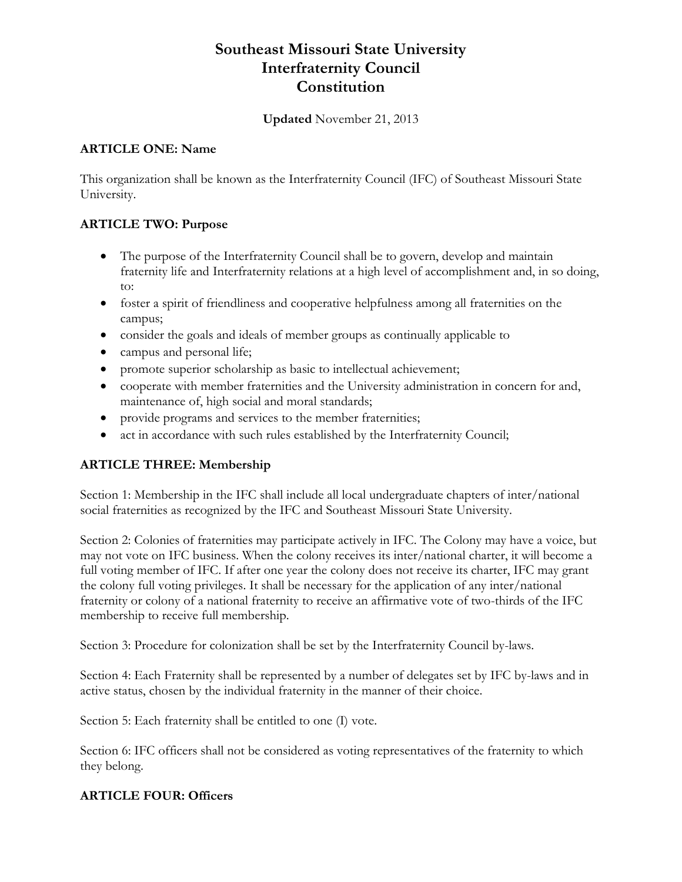# **Southeast Missouri State University Interfraternity Council Constitution**

#### **Updated** November 21, 2013

#### **ARTICLE ONE: Name**

This organization shall be known as the Interfraternity Council (IFC) of Southeast Missouri State University.

# **ARTICLE TWO: Purpose**

- The purpose of the Interfraternity Council shall be to govern, develop and maintain fraternity life and Interfraternity relations at a high level of accomplishment and, in so doing, to:
- foster a spirit of friendliness and cooperative helpfulness among all fraternities on the campus;
- consider the goals and ideals of member groups as continually applicable to
- campus and personal life;
- promote superior scholarship as basic to intellectual achievement;
- cooperate with member fraternities and the University administration in concern for and, maintenance of, high social and moral standards;
- provide programs and services to the member fraternities;
- act in accordance with such rules established by the Interfraternity Council;

# **ARTICLE THREE: Membership**

Section 1: Membership in the IFC shall include all local undergraduate chapters of inter/national social fraternities as recognized by the IFC and Southeast Missouri State University.

Section 2: Colonies of fraternities may participate actively in IFC. The Colony may have a voice, but may not vote on IFC business. When the colony receives its inter/national charter, it will become a full voting member of IFC. If after one year the colony does not receive its charter, IFC may grant the colony full voting privileges. It shall be necessary for the application of any inter/national fraternity or colony of a national fraternity to receive an affirmative vote of two-thirds of the IFC membership to receive full membership.

Section 3: Procedure for colonization shall be set by the Interfraternity Council by-laws.

Section 4: Each Fraternity shall be represented by a number of delegates set by IFC by-laws and in active status, chosen by the individual fraternity in the manner of their choice.

Section 5: Each fraternity shall be entitled to one (I) vote.

Section 6: IFC officers shall not be considered as voting representatives of the fraternity to which they belong.

# **ARTICLE FOUR: Officers**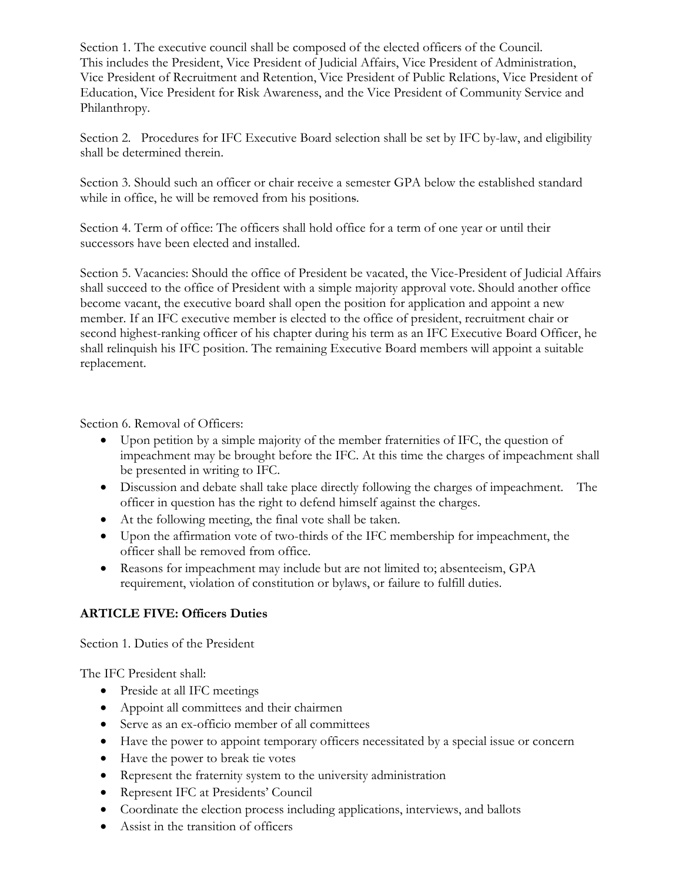Section 1. The executive council shall be composed of the elected officers of the Council. This includes the President, Vice President of Judicial Affairs, Vice President of Administration, Vice President of Recruitment and Retention, Vice President of Public Relations, Vice President of Education, Vice President for Risk Awareness, and the Vice President of Community Service and Philanthropy.

Section 2. Procedures for IFC Executive Board selection shall be set by IFC by-law, and eligibility shall be determined therein.

Section 3. Should such an officer or chair receive a semester GPA below the established standard while in office, he will be removed from his positions.

Section 4. Term of office: The officers shall hold office for a term of one year or until their successors have been elected and installed.

Section 5. Vacancies: Should the office of President be vacated, the Vice-President of Judicial Affairs shall succeed to the office of President with a simple majority approval vote. Should another office become vacant, the executive board shall open the position for application and appoint a new member. If an IFC executive member is elected to the office of president, recruitment chair or second highest-ranking officer of his chapter during his term as an IFC Executive Board Officer, he shall relinquish his IFC position. The remaining Executive Board members will appoint a suitable replacement.

Section 6. Removal of Officers:

- Upon petition by a simple majority of the member fraternities of IFC, the question of impeachment may be brought before the IFC. At this time the charges of impeachment shall be presented in writing to IFC.
- Discussion and debate shall take place directly following the charges of impeachment. The officer in question has the right to defend himself against the charges.
- At the following meeting, the final vote shall be taken.
- Upon the affirmation vote of two-thirds of the IFC membership for impeachment, the officer shall be removed from office.
- Reasons for impeachment may include but are not limited to; absenteeism, GPA requirement, violation of constitution or bylaws, or failure to fulfill duties.

# **ARTICLE FIVE: Officers Duties**

Section 1. Duties of the President

The IFC President shall:

- Preside at all IFC meetings
- Appoint all committees and their chairmen
- Serve as an ex-officio member of all committees
- Have the power to appoint temporary officers necessitated by a special issue or concern
- Have the power to break tie votes
- Represent the fraternity system to the university administration
- Represent IFC at Presidents' Council
- Coordinate the election process including applications, interviews, and ballots
- Assist in the transition of officers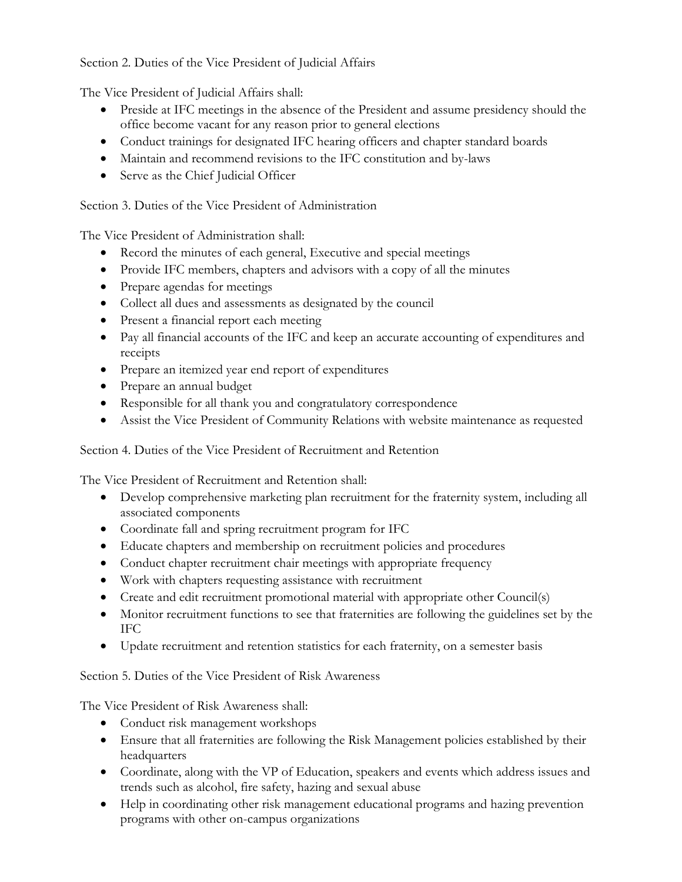# Section 2. Duties of the Vice President of Judicial Affairs

The Vice President of Judicial Affairs shall:

- Preside at IFC meetings in the absence of the President and assume presidency should the office become vacant for any reason prior to general elections
- Conduct trainings for designated IFC hearing officers and chapter standard boards
- Maintain and recommend revisions to the IFC constitution and by-laws
- Serve as the Chief Judicial Officer

Section 3. Duties of the Vice President of Administration

The Vice President of Administration shall:

- Record the minutes of each general, Executive and special meetings
- Provide IFC members, chapters and advisors with a copy of all the minutes
- Prepare agendas for meetings
- Collect all dues and assessments as designated by the council
- Present a financial report each meeting
- Pay all financial accounts of the IFC and keep an accurate accounting of expenditures and receipts
- Prepare an itemized year end report of expenditures
- Prepare an annual budget
- Responsible for all thank you and congratulatory correspondence
- Assist the Vice President of Community Relations with website maintenance as requested

Section 4. Duties of the Vice President of Recruitment and Retention

The Vice President of Recruitment and Retention shall:

- Develop comprehensive marketing plan recruitment for the fraternity system, including all associated components
- Coordinate fall and spring recruitment program for IFC
- Educate chapters and membership on recruitment policies and procedures
- Conduct chapter recruitment chair meetings with appropriate frequency
- Work with chapters requesting assistance with recruitment
- Create and edit recruitment promotional material with appropriate other Council(s)
- Monitor recruitment functions to see that fraternities are following the guidelines set by the IFC
- Update recruitment and retention statistics for each fraternity, on a semester basis

Section 5. Duties of the Vice President of Risk Awareness

The Vice President of Risk Awareness shall:

- Conduct risk management workshops
- Ensure that all fraternities are following the Risk Management policies established by their headquarters
- Coordinate, along with the VP of Education, speakers and events which address issues and trends such as alcohol, fire safety, hazing and sexual abuse
- Help in coordinating other risk management educational programs and hazing prevention programs with other on-campus organizations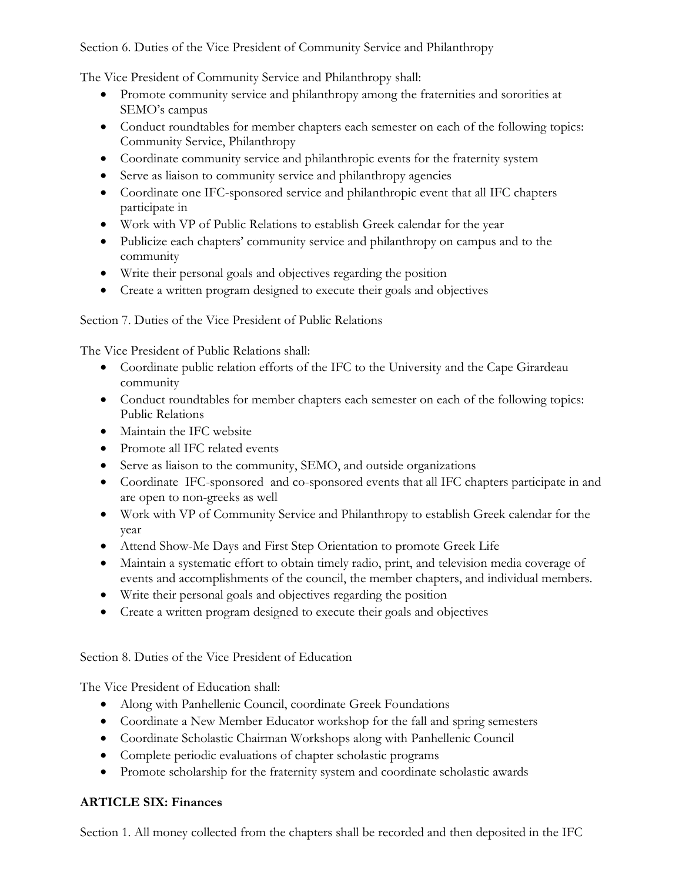Section 6. Duties of the Vice President of Community Service and Philanthropy

The Vice President of Community Service and Philanthropy shall:

- Promote community service and philanthropy among the fraternities and sororities at SEMO's campus
- Conduct roundtables for member chapters each semester on each of the following topics: Community Service, Philanthropy
- Coordinate community service and philanthropic events for the fraternity system
- Serve as liaison to community service and philanthropy agencies
- Coordinate one IFC-sponsored service and philanthropic event that all IFC chapters participate in
- Work with VP of Public Relations to establish Greek calendar for the year
- Publicize each chapters' community service and philanthropy on campus and to the community
- Write their personal goals and objectives regarding the position
- Create a written program designed to execute their goals and objectives

Section 7. Duties of the Vice President of Public Relations

The Vice President of Public Relations shall:

- Coordinate public relation efforts of the IFC to the University and the Cape Girardeau community
- Conduct roundtables for member chapters each semester on each of the following topics: Public Relations
- Maintain the IFC website
- Promote all IFC related events
- Serve as liaison to the community, SEMO, and outside organizations
- Coordinate IFC-sponsored and co-sponsored events that all IFC chapters participate in and are open to non-greeks as well
- Work with VP of Community Service and Philanthropy to establish Greek calendar for the year
- Attend Show-Me Days and First Step Orientation to promote Greek Life
- Maintain a systematic effort to obtain timely radio, print, and television media coverage of events and accomplishments of the council, the member chapters, and individual members.
- Write their personal goals and objectives regarding the position
- Create a written program designed to execute their goals and objectives

Section 8. Duties of the Vice President of Education

The Vice President of Education shall:

- Along with Panhellenic Council, coordinate Greek Foundations
- Coordinate a New Member Educator workshop for the fall and spring semesters
- Coordinate Scholastic Chairman Workshops along with Panhellenic Council
- Complete periodic evaluations of chapter scholastic programs
- Promote scholarship for the fraternity system and coordinate scholastic awards

# **ARTICLE SIX: Finances**

Section 1. All money collected from the chapters shall be recorded and then deposited in the IFC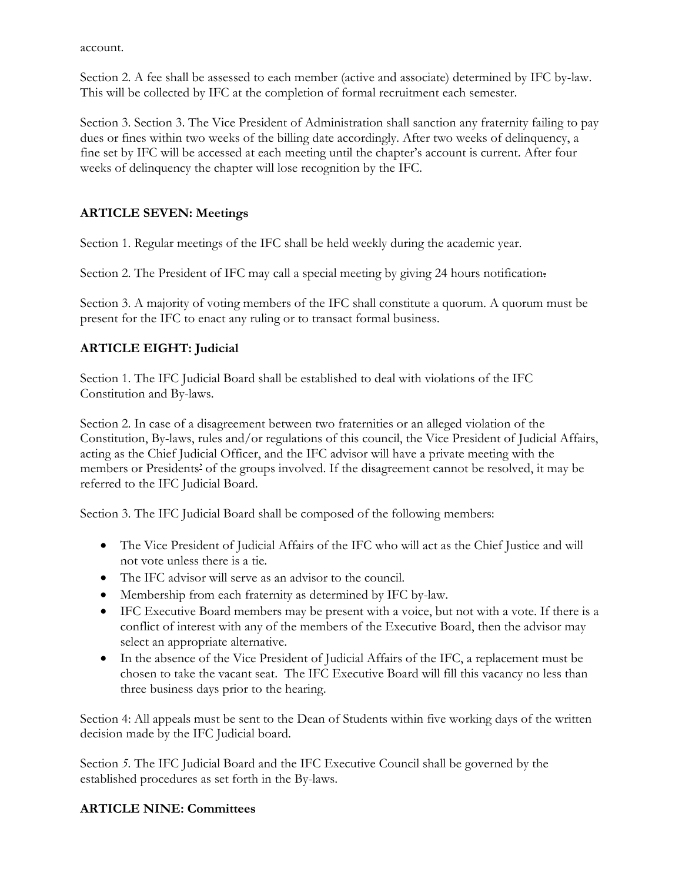account.

Section 2. A fee shall be assessed to each member (active and associate) determined by IFC by-law. This will be collected by IFC at the completion of formal recruitment each semester.

Section 3. Section 3. The Vice President of Administration shall sanction any fraternity failing to pay dues or fines within two weeks of the billing date accordingly. After two weeks of delinquency, a fine set by IFC will be accessed at each meeting until the chapter's account is current. After four weeks of delinquency the chapter will lose recognition by the IFC.

# **ARTICLE SEVEN: Meetings**

Section 1. Regular meetings of the IFC shall be held weekly during the academic year.

Section 2. The President of IFC may call a special meeting by giving 24 hours notification.

Section 3. A majority of voting members of the IFC shall constitute a quorum. A quorum must be present for the IFC to enact any ruling or to transact formal business.

# **ARTICLE EIGHT: Judicial**

Section 1. The IFC Judicial Board shall be established to deal with violations of the IFC Constitution and By-laws.

Section 2. In case of a disagreement between two fraternities or an alleged violation of the Constitution, By-laws, rules and/or regulations of this council, the Vice President of Judicial Affairs, acting as the Chief Judicial Officer, and the IFC advisor will have a private meeting with the members or Presidents' of the groups involved. If the disagreement cannot be resolved, it may be referred to the IFC Judicial Board.

Section 3. The IFC Judicial Board shall be composed of the following members:

- The Vice President of Judicial Affairs of the IFC who will act as the Chief Justice and will not vote unless there is a tie.
- The IFC advisor will serve as an advisor to the council.
- Membership from each fraternity as determined by IFC by-law.
- IFC Executive Board members may be present with a voice, but not with a vote. If there is a conflict of interest with any of the members of the Executive Board, then the advisor may select an appropriate alternative.
- In the absence of the Vice President of Judicial Affairs of the IFC, a replacement must be chosen to take the vacant seat. The IFC Executive Board will fill this vacancy no less than three business days prior to the hearing.

Section 4: All appeals must be sent to the Dean of Students within five working days of the written decision made by the IFC Judicial board.

Section *5.* The IFC Judicial Board and the IFC Executive Council shall be governed by the established procedures as set forth in the By-laws.

# **ARTICLE NINE: Committees**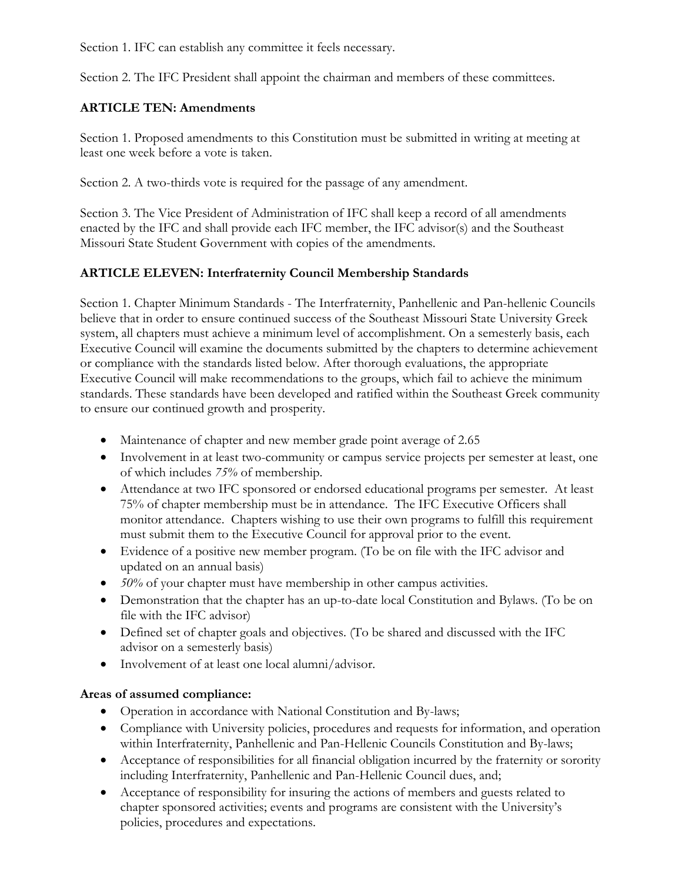Section 1. IFC can establish any committee it feels necessary.

Section 2. The IFC President shall appoint the chairman and members of these committees.

## **ARTICLE TEN: Amendments**

Section 1. Proposed amendments to this Constitution must be submitted in writing at meeting at least one week before a vote is taken.

Section 2. A two-thirds vote is required for the passage of any amendment.

Section 3. The Vice President of Administration of IFC shall keep a record of all amendments enacted by the IFC and shall provide each IFC member, the IFC advisor(s) and the Southeast Missouri State Student Government with copies of the amendments.

# **ARTICLE ELEVEN: Interfraternity Council Membership Standards**

Section 1. Chapter Minimum Standards - The Interfraternity, Panhellenic and Pan-hellenic Councils believe that in order to ensure continued success of the Southeast Missouri State University Greek system, all chapters must achieve a minimum level of accomplishment. On a semesterly basis, each Executive Council will examine the documents submitted by the chapters to determine achievement or compliance with the standards listed below. After thorough evaluations, the appropriate Executive Council will make recommendations to the groups, which fail to achieve the minimum standards. These standards have been developed and ratified within the Southeast Greek community to ensure our continued growth and prosperity.

- Maintenance of chapter and new member grade point average of 2.65
- Involvement in at least two-community or campus service projects per semester at least, one of which includes *75%* of membership.
- Attendance at two IFC sponsored or endorsed educational programs per semester. At least 75% of chapter membership must be in attendance. The IFC Executive Officers shall monitor attendance. Chapters wishing to use their own programs to fulfill this requirement must submit them to the Executive Council for approval prior to the event.
- Evidence of a positive new member program. (To be on file with the IFC advisor and updated on an annual basis)
- *50%* of your chapter must have membership in other campus activities.
- Demonstration that the chapter has an up-to-date local Constitution and Bylaws. (To be on file with the IFC advisor)
- Defined set of chapter goals and objectives. (To be shared and discussed with the IFC advisor on a semesterly basis)
- Involvement of at least one local alumni/advisor.

# **Areas of assumed compliance:**

- Operation in accordance with National Constitution and By-laws;
- Compliance with University policies, procedures and requests for information, and operation within Interfraternity, Panhellenic and Pan-Hellenic Councils Constitution and By-laws;
- Acceptance of responsibilities for all financial obligation incurred by the fraternity or sorority including Interfraternity, Panhellenic and Pan-Hellenic Council dues, and;
- Acceptance of responsibility for insuring the actions of members and guests related to chapter sponsored activities; events and programs are consistent with the University's policies, procedures and expectations.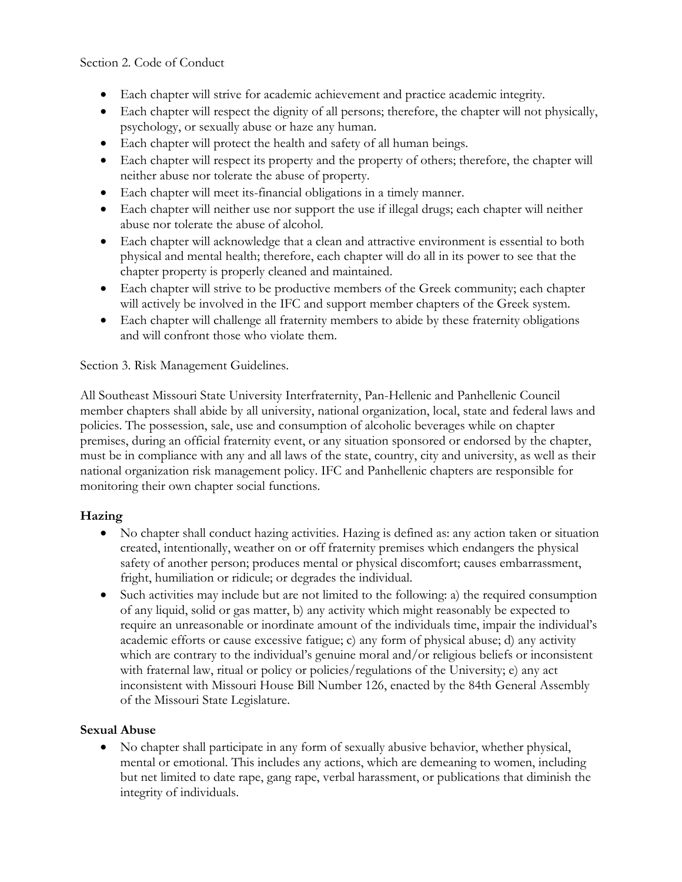#### Section 2. Code of Conduct

- Each chapter will strive for academic achievement and practice academic integrity.
- Each chapter will respect the dignity of all persons; therefore, the chapter will not physically, psychology, or sexually abuse or haze any human.
- Each chapter will protect the health and safety of all human beings.
- Each chapter will respect its property and the property of others; therefore, the chapter will neither abuse nor tolerate the abuse of property.
- Each chapter will meet its-financial obligations in a timely manner.
- Each chapter will neither use nor support the use if illegal drugs; each chapter will neither abuse nor tolerate the abuse of alcohol.
- Each chapter will acknowledge that a clean and attractive environment is essential to both physical and mental health; therefore, each chapter will do all in its power to see that the chapter property is properly cleaned and maintained.
- Each chapter will strive to be productive members of the Greek community; each chapter will actively be involved in the IFC and support member chapters of the Greek system.
- Each chapter will challenge all fraternity members to abide by these fraternity obligations and will confront those who violate them.

#### Section 3. Risk Management Guidelines.

All Southeast Missouri State University Interfraternity, Pan-Hellenic and Panhellenic Council member chapters shall abide by all university, national organization, local, state and federal laws and policies. The possession, sale, use and consumption of alcoholic beverages while on chapter premises, during an official fraternity event, or any situation sponsored or endorsed by the chapter, must be in compliance with any and all laws of the state, country, city and university, as well as their national organization risk management policy. IFC and Panhellenic chapters are responsible for monitoring their own chapter social functions.

# **Hazing**

- No chapter shall conduct hazing activities. Hazing is defined as: any action taken or situation created, intentionally, weather on or off fraternity premises which endangers the physical safety of another person; produces mental or physical discomfort; causes embarrassment, fright, humiliation or ridicule; or degrades the individual.
- Such activities may include but are not limited to the following: a) the required consumption of any liquid, solid or gas matter, b) any activity which might reasonably be expected to require an unreasonable or inordinate amount of the individuals time, impair the individual's academic efforts or cause excessive fatigue; c) any form of physical abuse; d) any activity which are contrary to the individual's genuine moral and/or religious beliefs or inconsistent with fraternal law, ritual or policy or policies/regulations of the University; e) any act inconsistent with Missouri House Bill Number 126, enacted by the 84th General Assembly of the Missouri State Legislature.

# **Sexual Abuse**

 No chapter shall participate in any form of sexually abusive behavior, whether physical, mental or emotional. This includes any actions, which are demeaning to women, including but net limited to date rape, gang rape, verbal harassment, or publications that diminish the integrity of individuals.